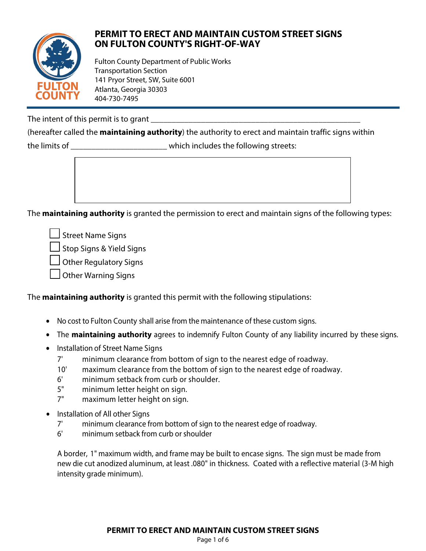

## **PERMIT TO ERECT AND MAINTAIN CUSTOM STREET SIGNS ON FULTON COUNTY'S RIGHT-OF-WAY**

Fulton County Department of Public Works Transportation Section 141 Pryor Street, SW, Suite 6001 Atlanta, Georgia 30303 404-730-7495

The intent of this permit is to grant

(hereafter called the **maintaining authority**) the authority to erect and maintain traffic signs within the limits of \_\_\_\_\_\_\_\_\_\_\_\_\_\_\_\_\_\_\_\_\_\_\_ which includes the following streets:

The **maintaining authority** is granted the permission to erect and maintain signs of the following types:

Street Name Signs

Stop Signs & Yield Signs

□ Other Regulatory Signs

 $\Box$  Other Warning Signs

The **maintaining authority** is granted this permit with the following stipulations:

- No cost to Fulton County shall arise from the maintenance of these custom signs.
- The **maintaining authority** agrees to indemnify Fulton County of any liability incurred by these signs.
- Installation of Street Name Signs
	- 7' minimum clearance from bottom of sign to the nearest edge of roadway.
	- 10' maximum clearance from the bottom of sign to the nearest edge of roadway.
	- 6' minimum setback from curb or shoulder.
	- 5" minimum letter height on sign.
	- 7" maximum letter height on sign.
- Installation of All other Signs
	- 7' minimum clearance from bottom of sign to the nearest edge of roadway.
	- 6' minimum setback from curb or shoulder

A border, 1" maximum width, and frame may be built to encase signs. The sign must be made from new die cut anodized aluminum, at least .080" in thickness. Coated with a reflective material (3-M high intensity grade minimum).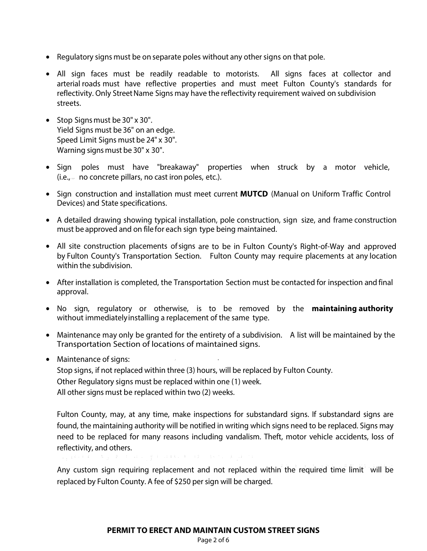- Regulatory signs must be on separate poles without any other signs on that pole.
- All sign faces must be readily readable to motorists. All signs faces at collector and arterial roads must have reflective properties and must meet Fulton County's standards for reflectivity. Only Street Name Signs may have the reflectivity requirement waived on subdivision streets.
- Stop Signs must be 30" x 30". Yield Signs must be 36" on an edge. Speed Limit Signs must be 24" x 30". Warning signs must be 30" x 30".
- Sign poles must have "breakaway" properties when struck by a motor vehicle,  $(i.e., -no$  concrete pillars, no cast iron poles, etc.).
- Sign construction and installation must meet current **MUTCD** (Manual on Uniform Traffic Control Devices) and State specifications.
- A detailed drawing showing typical installation, pole construction, sign size, and frame construction must be approved and on file for each sign type being maintained.
- All site construction placements ofsigns are to be in Fulton County's Right-of-Way and approved by Fulton County's Transportation Section. Fulton County may require placements at any location within the subdivision.
- After installation is completed, the Transportation Section must be contacted for inspection and final approval.
- No sign, regulatory or otherwise, is to be removed by the **maintaining authority** without immediatelyinstalling a replacement of the same type.
- Maintenance may only be granted for the entirety of a subdivision. A list will be maintained by the Transportation Section of locations of maintained signs.
- Maintenance of signs:

Stop signs, if not replaced within three (3) hours, will be replaced by Fulton County. Other Regulatory signs must be replaced within one ( 1) week. All other signs must be replaced within two (2) weeks.

Fulton County, may, at any time, make inspections for substandard signs. If substandard signs are found, the maintaining authority will be notified in writing which signs need to be replaced. Signs may need to be replaced for many reasons including vandalism. Theft, motor vehicle accidents, loss of reflectivity, and others.

 $\sim 10^{-1}$  g  $^{-1}$ 

Any custom sign requiring replacement and not replaced within the required time limit will be replaced by Fulton County. A fee of \$250 per sign will be charged.

Page 2 of 6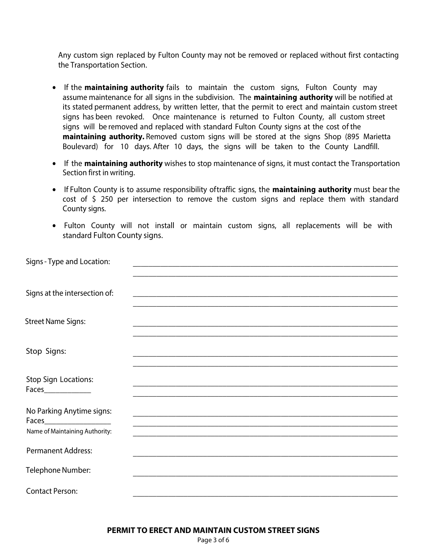Any custom sign replaced by Fulton County may not be removed or replaced without first contacting the Transportation Section.

- If the **maintaining authority** fails to maintain the custom signs, Fulton County may assume maintenance for all signs in the subdivision. The **maintaining authority** will be notified at its stated permanent address, by written letter, that the permit to erect and maintain custom street signs has been revoked. Once maintenance is returned to Fulton County, all custom street signs will be removed and replaced with standard Fulton County signs at the cost of the **maintaining authority.** Removed custom signs will be stored at the signs Shop (895 Marietta Boulevard) for 10 days. After 10 days, the signs will be taken to the County Landfill.
- If the **maintaining authority** wishes to stop maintenance of signs, it must contact the Transportation Section first in writing.
- If Fulton County is to assume responsibility oftraffic signs, the **maintaining authority** must bear the cost of \$ 250 per intersection to remove the custom signs and replace them with standard County signs.
- Fulton County will not install or maintain custom signs, all replacements will be with standard Fulton County signs.

| Signs - Type and Location:     |                                                                                                                  |  |
|--------------------------------|------------------------------------------------------------------------------------------------------------------|--|
|                                |                                                                                                                  |  |
|                                |                                                                                                                  |  |
| Signs at the intersection of:  |                                                                                                                  |  |
|                                |                                                                                                                  |  |
| <b>Street Name Signs:</b>      |                                                                                                                  |  |
|                                | and the control of the control of the control of the control of the control of the control of the control of the |  |
|                                |                                                                                                                  |  |
| Stop Signs:                    |                                                                                                                  |  |
|                                |                                                                                                                  |  |
| Stop Sign Locations:           |                                                                                                                  |  |
| Faces______________            |                                                                                                                  |  |
|                                |                                                                                                                  |  |
| No Parking Anytime signs:      |                                                                                                                  |  |
|                                |                                                                                                                  |  |
| Name of Maintaining Authority: |                                                                                                                  |  |
|                                |                                                                                                                  |  |
| <b>Permanent Address:</b>      |                                                                                                                  |  |
| Telephone Number:              |                                                                                                                  |  |
|                                |                                                                                                                  |  |
| <b>Contact Person:</b>         |                                                                                                                  |  |
|                                |                                                                                                                  |  |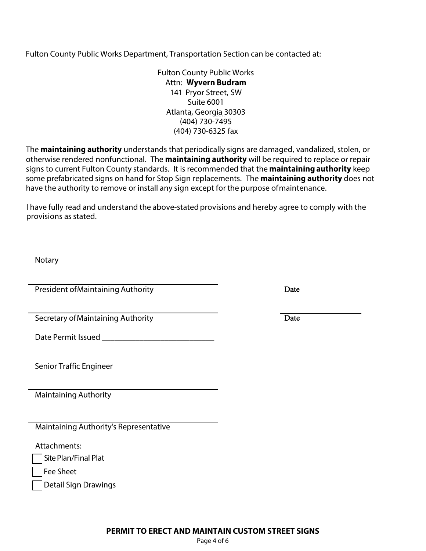Fulton County Public Works Department, Transportation Section can be contacted at:

Fulton County Public Works Attn: **Wyvern Budram**  141 Pryor Street, SW Suite 6001 Atlanta, Georgia 30303 (404) 730-7495 (404) 730-6325 fax

The **maintaining authority** understands that periodically signs are damaged, vandalized, stolen, or otherwise rendered nonfunctional. The **maintaining authority** will be required to replace or repair signs to current Fulton County standards. It is recommended that the **maintaining authority** keep some prefabricated signs on hand for Stop Sign replacements. The **maintaining authority** does not have the authority to remove or install any sign except for the purpose of maintenance.

I have fully read and understand the above-stated provisions and hereby agree to comply with the provisions as stated.

| Notary                                 |      |
|----------------------------------------|------|
| President of Maintaining Authority     | Date |
| Secretary of Maintaining Authority     | Date |
|                                        |      |
| Senior Traffic Engineer                |      |
| <b>Maintaining Authority</b>           |      |
| Maintaining Authority's Representative |      |
| Attachments:<br>Site Plan/Final Plat   |      |
| <b>Fee Sheet</b>                       |      |
| <b>Detail Sign Drawings</b>            |      |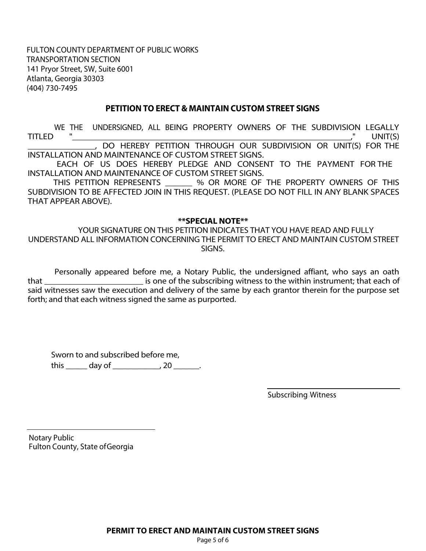FULTON COUNTY DEPARTMENT OF PUBLIC WORKS TRANSPORTATION SECTION 141 Pryor Street, SW, Suite 6001 Atlanta, Georgia 30303 (404) 730-7495

## **PETITION TO ERECT & MAINTAIN CUSTOM STREET SIGNS**

WE THE UNDERSIGNED, ALL BEING PROPERTY OWNERS OF THE SUBDIVISION LEGALLY<br>TITLED ", UNIT(S) TITLED "\_\_\_\_\_\_\_\_\_\_\_\_\_\_\_\_\_\_\_\_\_\_\_\_\_\_\_\_\_\_\_\_\_\_\_\_\_\_\_\_\_\_\_\_\_\_\_\_\_\_\_\_\_\_\_\_\_\_\_\_\_\_," UNIT(S) \_\_\_\_\_\_\_\_\_\_\_\_\_\_\_, DO HEREBY PETITION THROUGH OUR SUBDIVISION OR UNIT(S) FOR THE INSTALLATION AND MAINTENANCE OF CUSTOM STREET SIGNS.

EACH OF US DOES HEREBY PLEDGE AND CONSENT TO THE PAYMENT FOR THE INSTALLATION AND MAINTENANCE OF CUSTOM STREET SIGNS.

THIS PETITION REPRESENTS \_\_\_\_\_\_ % OR MORE OF THE PROPERTY OWNERS OF THIS SUBDIVISION TO BE AFFECTED JOIN IN THIS REQUEST. (PLEASE DO NOT FILL IN ANY BLANK SPACES THAT APPEAR ABOVE).

## **\*\*SPECIAL NOTE\*\***

YOUR SIGNATURE ON THIS PETITION INDICATES THAT YOU HAVE READ AND FULLY UNDERSTAND ALL INFORMATION CONCERNING THE PERMIT TO ERECT AND MAINTAIN CUSTOM STREET SIGNS.

Personally appeared before me, a Notary Public, the undersigned affiant, who says an oath that \_\_\_\_\_\_\_\_\_\_\_\_\_\_\_\_\_\_\_\_\_\_\_ is one of the subscribing witness to the within instrument; that each of said witnesses saw the execution and delivery of the same by each grantor therein for the purpose set forth; and that each witness signed the same as purported.

Sworn to and subscribed before me, this \_\_\_\_\_\_ day of \_\_\_\_\_\_\_\_\_\_\_\_, 20 \_\_\_\_\_\_.

Subscribing Witness

Notary Public Fulton County, State of Georgia